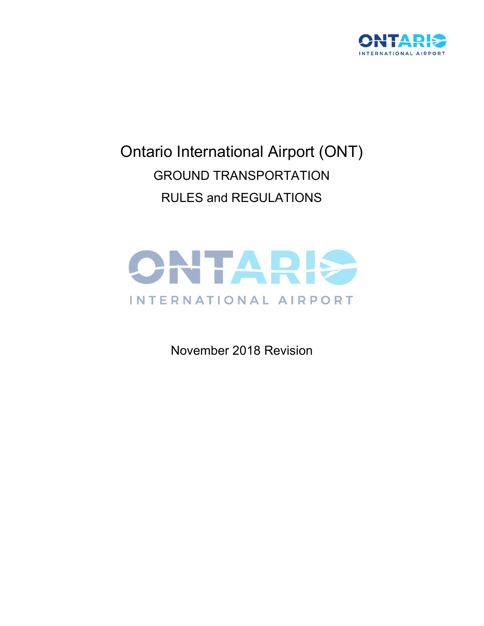

# Ontario International Airport (ONT) GROUND TRANSPORTATION RULES and REGULATIONS



November 2018 Revision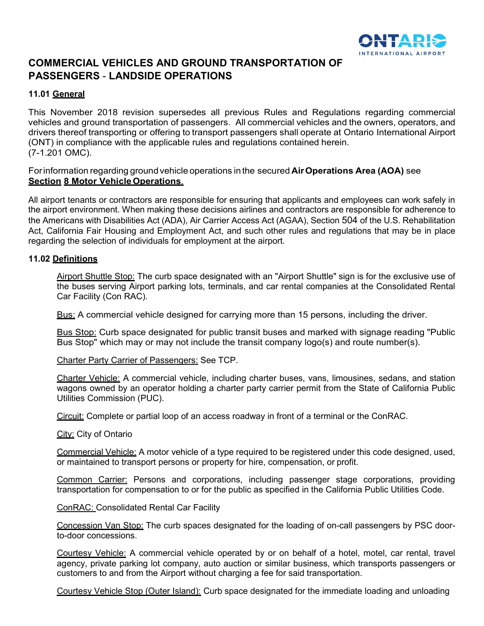

# **COMMERCIAL VEHICLES AND GROUND TRANSPORTATION OF PASSENGERS** - **LANDSIDE OPERATIONS**

# **11.01 General**

This November 2018 revision supersedes all previous Rules and Regulations regarding commercial vehicles and ground transportation of passengers. All commercial vehicles and the owners, operators, and drivers thereof transporting or offering to transport passengers shall operate at Ontario International Airport (ONT) in compliance with the applicable rules and regulations contained herein. (7-1.201 OMC).

Forinformation regarding groundvehicle operations in the secured **AirOperations Area (AOA)** see **Section 8 Motor Vehicle Operations.** 

All airport tenants or contractors are responsible for ensuring that applicants and employees can work safely in the airport environment. When making these decisions airlines and contractors are responsible for adherence to the Americans with Disabilities Act (ADA), Air Carrier Access Act (AGAA), Section 504 of the U.S. Rehabilitation Act, California Fair Housing and Employment Act, and such other rules and regulations that may be in place regarding the selection of individuals for employment at the airport.

#### **11.02 Definitions**

Airport Shuttle Stop: The curb space designated with an "Airport Shuttle" sign is for the exclusive use of the buses serving Airport parking lots, terminals, and car rental companies at the Consolidated Rental Car Facility (Con RAC).

Bus: A commercial vehicle designed for carrying more than 15 persons, including the driver.

Bus Stop: Curb space designated for public transit buses and marked with signage reading "Public Bus Stop" which may or may not include the transit company logo(s) and route number(s).

Charter Party Carrier of Passengers: See TCP.

Charter Vehicle: A commercial vehicle, including charter buses, vans, limousines, sedans, and station wagons owned by an operator holding a charter party carrier permit from the State of California Public Utilities Commission (PUC).

Circuit: Complete or partial loop of an access roadway in front of a terminal or the ConRAC.

City: City of Ontario

Commercial Vehicle: A motor vehicle of a type required to be registered under this code designed, used, or maintained to transport persons or property for hire, compensation, or profit.

Common Carrier: Persons and corporations, including passenger stage corporations, providing transportation for compensation to or for the public as specified in the California Public Utilities Code.

ConRAC: Consolidated Rental Car Facility

Concession Van Stop: The curb spaces designated for the loading of on-call passengers by PSC doorto-door concessions.

Courtesy Vehicle: A commercial vehicle operated by or on behalf of a hotel, motel, car rental, travel agency, private parking lot company, auto auction or similar business, which transports passengers or customers to and from the Airport without charging a fee for said transportation.

Courtesy Vehicle Stop (Outer Island): Curb space designated for the immediate loading and unloading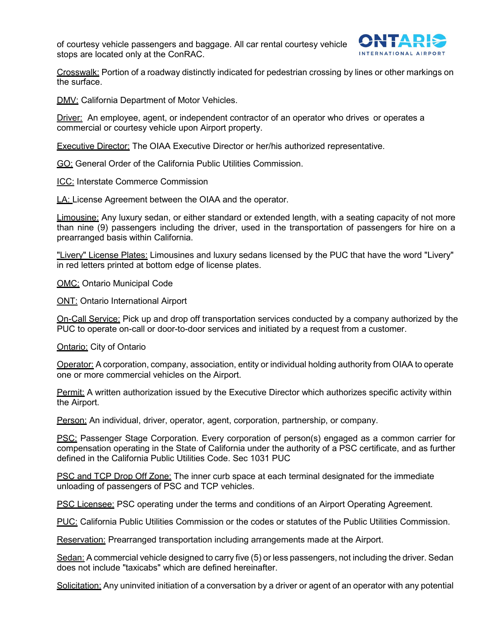of courtesy vehicle passengers and baggage. All car rental courtesy vehicle stops are located only at the ConRAC.



Crosswalk: Portion of a roadway distinctly indicated for pedestrian crossing by lines or other markings on the surface.

**DMV: California Department of Motor Vehicles.** 

Driver: An employee, agent, or independent contractor of an operator who drives or operates a commercial or courtesy vehicle upon Airport property.

Executive Director: The OIAA Executive Director or her/his authorized representative.

GO: General Order of the California Public Utilities Commission.

ICC: Interstate Commerce Commission

LA: License Agreement between the OIAA and the operator.

Limousine: Any luxury sedan, or either standard or extended length, with a seating capacity of not more than nine (9) passengers including the driver, used in the transportation of passengers for hire on a prearranged basis within California.

"Livery" License Plates: Limousines and luxury sedans licensed by the PUC that have the word "Livery" in red letters printed at bottom edge of license plates.

OMC: Ontario Municipal Code

ONT: Ontario International Airport

On-Call Service: Pick up and drop off transportation services conducted by a company authorized by the PUC to operate on-call or door-to-door services and initiated by a request from a customer.

**Ontario: City of Ontario** 

Operator: A corporation, company, association, entity or individual holding authority from OIAA to operate one or more commercial vehicles on the Airport.

Permit: A written authorization issued by the Executive Director which authorizes specific activity within the Airport.

Person: An individual, driver, operator, agent, corporation, partnership, or company.

PSC: Passenger Stage Corporation. Every corporation of person(s) engaged as a common carrier for compensation operating in the State of California under the authority of a PSC certificate, and as further defined in the California Public Utilities Code. Sec 1031 PUC

PSC and TCP Drop Off Zone: The inner curb space at each terminal designated for the immediate unloading of passengers of PSC and TCP vehicles.

PSC Licensee: PSC operating under the terms and conditions of an Airport Operating Agreement.

PUC: California Public Utilities Commission or the codes or statutes of the Public Utilities Commission.

Reservation: Prearranged transportation including arrangements made at the Airport.

Sedan: A commercial vehicle designed to carry five (5) or less passengers, not including the driver. Sedan does not include "taxicabs" which are defined hereinafter.

Solicitation: Any uninvited initiation of a conversation by a driver or agent of an operator with any potential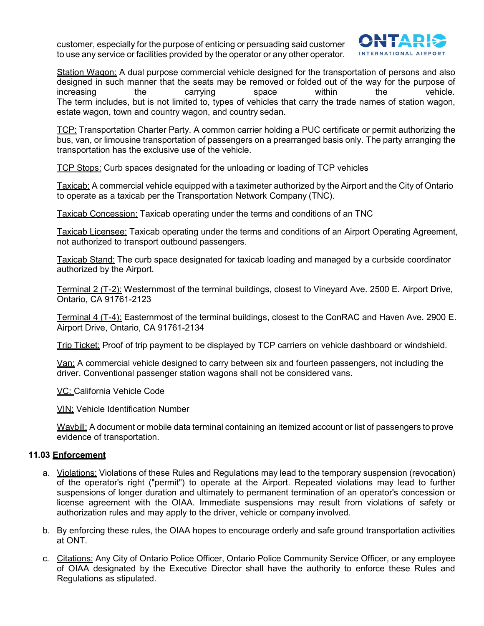customer, especially for the purpose of enticing or persuading said customer to use any service or facilities provided by the operator or any other operator.



Station Wagon: A dual purpose commercial vehicle designed for the transportation of persons and also designed in such manner that the seats may be removed or folded out of the way for the purpose of<br>increasing the carrying space within the vehicle. increasing the carrying space within the vehicle. The term includes, but is not limited to, types of vehicles that carry the trade names of station wagon, estate wagon, town and country wagon, and country sedan.

TCP: Transportation Charter Party. A common carrier holding a PUC certificate or permit authorizing the bus, van, or limousine transportation of passengers on a prearranged basis only. The party arranging the transportation has the exclusive use of the vehicle.

TCP Stops: Curb spaces designated for the unloading or loading of TCP vehicles

Taxicab: A commercial vehicle equipped with a taximeter authorized by the Airport and the City of Ontario to operate as a taxicab per the Transportation Network Company (TNC).

Taxicab Concession: Taxicab operating under the terms and conditions of an TNC

Taxicab Licensee: Taxicab operating under the terms and conditions of an Airport Operating Agreement, not authorized to transport outbound passengers.

Taxicab Stand: The curb space designated for taxicab loading and managed by a curbside coordinator authorized by the Airport.

Terminal 2 (T-2): Westernmost of the terminal buildings, closest to Vineyard Ave. 2500 E. Airport Drive, Ontario, CA 91761-2123

Terminal 4 (T-4): Easternmost of the terminal buildings, closest to the ConRAC and Haven Ave. 2900 E. Airport Drive, Ontario, CA 91761-2134

Trip Ticket: Proof of trip payment to be displayed by TCP carriers on vehicle dashboard or windshield.

Van: A commercial vehicle designed to carry between six and fourteen passengers, not including the driver. Conventional passenger station wagons shall not be considered vans.

VC: California Vehicle Code

VIN: Vehicle Identification Number

Waybill: A document or mobile data terminal containing an itemized account or list of passengers to prove evidence of transportation.

#### **11.03 Enforcement**

- a. Violations: Violations of these Rules and Regulations may lead to the temporary suspension (revocation) of the operator's right ("permit") to operate at the Airport. Repeated violations may lead to further suspensions of longer duration and ultimately to permanent termination of an operator's concession or license agreement with the OIAA. Immediate suspensions may result from violations of safety or authorization rules and may apply to the driver, vehicle or company involved.
- b. By enforcing these rules, the OIAA hopes to encourage orderly and safe ground transportation activities at ONT.
- c. Citations: Any City of Ontario Police Officer, Ontario Police Community Service Officer, or any employee of OIAA designated by the Executive Director shall have the authority to enforce these Rules and Regulations as stipulated.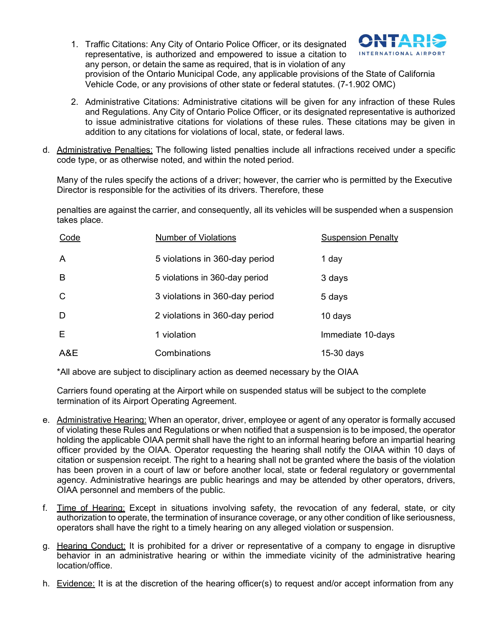1. Traffic Citations: Any City of Ontario Police Officer, or its designated representative, is authorized and empowered to issue a citation to any person, or detain the same as required, that is in violation of any



provision of the Ontario Municipal Code, any applicable provisions of the State of California Vehicle Code, or any provisions of other state or federal statutes. (7-1.902 OMC)

- 2. Administrative Citations: Administrative citations will be given for any infraction of these Rules and Regulations. Any City of Ontario Police Officer, or its designated representative is authorized to issue administrative citations for violations of these rules. These citations may be given in addition to any citations for violations of local, state, or federal laws.
- d. Administrative Penalties: The following listed penalties include all infractions received under a specific code type, or as otherwise noted, and within the noted period.

Many of the rules specify the actions of a driver; however, the carrier who is permitted by the Executive Director is responsible for the activities of its drivers. Therefore, these

penalties are against the carrier, and consequently, all its vehicles will be suspended when a suspension takes place.

| Code | <b>Number of Violations</b>    | <b>Suspension Penalty</b> |
|------|--------------------------------|---------------------------|
| A    | 5 violations in 360-day period | 1 day                     |
| B    | 5 violations in 360-day period | 3 days                    |
| C    | 3 violations in 360-day period | 5 days                    |
| D    | 2 violations in 360-day period | 10 days                   |
| E    | 1 violation                    | Immediate 10-days         |
| A&E  | Combinations                   | $15-30$ days              |

\*All above are subject to disciplinary action as deemed necessary by the OIAA

Carriers found operating at the Airport while on suspended status will be subject to the complete termination of its Airport Operating Agreement.

- e. Administrative Hearing: When an operator, driver, employee or agent of any operator is formally accused of violating these Rules and Regulations or when notified that a suspension is to be imposed, the operator holding the applicable OIAA permit shall have the right to an informal hearing before an impartial hearing officer provided by the OIAA. Operator requesting the hearing shall notify the OIAA within 10 days of citation or suspension receipt. The right to a hearing shall not be granted where the basis of the violation has been proven in a court of law or before another local, state or federal regulatory or governmental agency. Administrative hearings are public hearings and may be attended by other operators, drivers, OIAA personnel and members of the public.
- f. Time of Hearing: Except in situations involving safety, the revocation of any federal, state, or city authorization to operate, the termination of insurance coverage, or any other condition of like seriousness, operators shall have the right to a timely hearing on any alleged violation or suspension.
- g. Hearing Conduct: It is prohibited for a driver or representative of a company to engage in disruptive behavior in an administrative hearing or within the immediate vicinity of the administrative hearing location/office.
- h. Evidence: It is at the discretion of the hearing officer(s) to request and/or accept information from any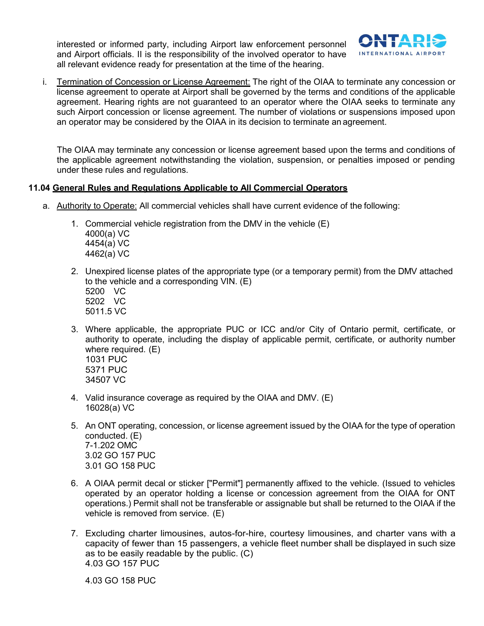interested or informed party, including Airport law enforcement personnel and Airport officials. II is the responsibility of the involved operator to have all relevant evidence ready for presentation at the time of the hearing.



i. Termination of Concession or License Agreement: The right of the OIAA to terminate any concession or license agreement to operate at Airport shall be governed by the terms and conditions of the applicable agreement. Hearing rights are not guaranteed to an operator where the OIAA seeks to terminate any such Airport concession or license agreement. The number of violations or suspensions imposed upon an operator may be considered by the OIAA in its decision to terminate an agreement.

The OIAA may terminate any concession or license agreement based upon the terms and conditions of the applicable agreement notwithstanding the violation, suspension, or penalties imposed or pending under these rules and regulations.

#### **11.04 General Rules and Regulations Applicable to All Commercial Operators**

- a. Authority to Operate: All commercial vehicles shall have current evidence of the following:
	- 1. Commercial vehicle registration from the DMV in the vehicle (E) 4000(a) VC 4454(a) VC 4462(a) VC
	- 2. Unexpired license plates of the appropriate type (or a temporary permit) from the DMV attached to the vehicle and a corresponding VIN. (E)
		- 5200 VC 5202 VC 5011.5 VC
	- 3. Where applicable, the appropriate PUC or ICC and/or City of Ontario permit, certificate, or authority to operate, including the display of applicable permit, certificate, or authority number where required. (E) 1031 PUC 5371 PUC 34507 VC
	- 4. Valid insurance coverage as required by the OIAA and DMV. (E) 16028(a) VC
	- 5. An ONT operating, concession, or license agreement issued by the OIAA for the type of operation conducted. (E) 7-1.202 OMC 3.02 GO 157 PUC 3.01 GO 158 PUC
	- 6. A OIAA permit decal or sticker ["Permit"] permanently affixed to the vehicle. (Issued to vehicles operated by an operator holding a license or concession agreement from the OIAA for ONT operations.) Permit shall not be transferable or assignable but shall be returned to the OIAA if the vehicle is removed from service. (E)
	- 7. Excluding charter limousines, autos-for-hire, courtesy limousines, and charter vans with a capacity of fewer than 15 passengers, a vehicle fleet number shall be displayed in such size as to be easily readable by the public. (C) 4.03 GO 157 PUC

4.03 GO 158 PUC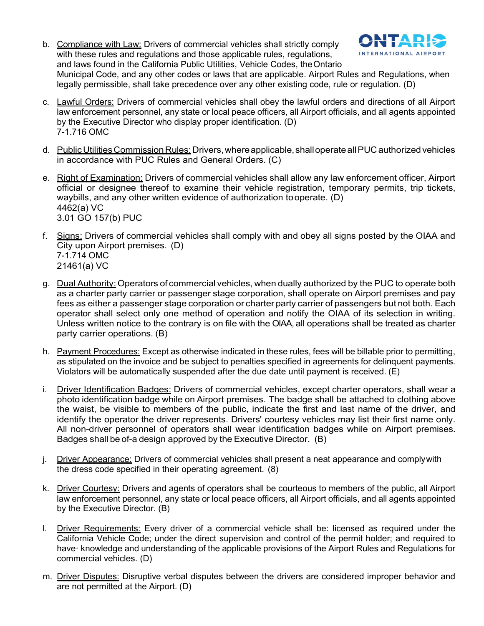b. Compliance with Law: Drivers of commercial vehicles shall strictly comply with these rules and regulations and those applicable rules, regulations, and laws found in the California Public Utilities, Vehicle Codes, theOntario Municipal Code, and any other codes or laws that are applicable. Airport Rules and Regulations, when legally permissible, shall take precedence over any other existing code, rule or regulation. (D)



- d. Public Utilities Commission Rules: Drivers, where applicable, shall operate all PUC authorized vehicles in accordance with PUC Rules and General Orders. (C)
- e. Right of Examination: Drivers of commercial vehicles shall allow any law enforcement officer, Airport official or designee thereof to examine their vehicle registration, temporary permits, trip tickets, waybills, and any other written evidence of authorization tooperate. (D) 4462(a) VC 3.01 GO 157(b) PUC
- f. Signs: Drivers of commercial vehicles shall comply with and obey all signs posted by the OIAA and City upon Airport premises. (D) 7-1.714 OMC 21461(a) VC
- g. Dual Authority: Operators of commercial vehicles, when dually authorized by the PUC to operate both as a charter party carrier or passenger stage corporation, shall operate on Airport premises and pay fees as either a passenger stage corporation or charter party carrier of passengers but not both. Each operator shall select only one method of operation and notify the OIAA of its selection in writing. Unless written notice to the contrary is on file with the OIAA, all operations shall be treated as charter party carrier operations. (B)
- h. Payment Procedures: Except as otherwise indicated in these rules, fees will be billable prior to permitting, as stipulated on the invoice and be subject to penalties specified in agreements for delinquent payments. Violators will be automatically suspended after the due date until payment is received. (E)
- i. Driver Identification Badges: Drivers of commercial vehicles, except charter operators, shall wear a photo identification badge while on Airport premises. The badge shall be attached to clothing above the waist, be visible to members of the public, indicate the first and last name of the driver, and identify the operator the driver represents. Drivers' courtesy vehicles may list their first name only. All non-driver personnel of operators shall wear identification badges while on Airport premises. Badges shall be of-a design approved by the Executive Director. (B)
- j. Driver Appearance: Drivers of commercial vehicles shall present a neat appearance and complywith the dress code specified in their operating agreement. (8)
- k. Driver Courtesy: Drivers and agents of operators shall be courteous to members of the public, all Airport law enforcement personnel, any state or local peace officers, all Airport officials, and all agents appointed by the Executive Director. (B)
- l. Driver Requirements: Every driver of a commercial vehicle shall be: licensed as required under the California Vehicle Code; under the direct supervision and control of the permit holder; and required to have· knowledge and understanding of the applicable provisions of the Airport Rules and Regulations for commercial vehicles. (D)
- m. Driver Disputes: Disruptive verbal disputes between the drivers are considered improper behavior and are not permitted at the Airport. (D)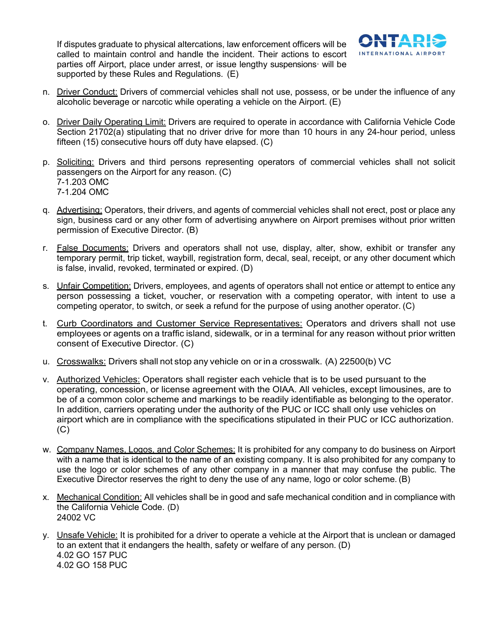If disputes graduate to physical altercations, law enforcement officers will be called to maintain control and handle the incident. Their actions to escort parties off Airport, place under arrest, or issue lengthy suspensions· will be supported by these Rules and Regulations. (E)



- n. Driver Conduct: Drivers of commercial vehicles shall not use, possess, or be under the influence of any alcoholic beverage or narcotic while operating a vehicle on the Airport. (E)
- o. Driver Daily Operating Limit: Drivers are required to operate in accordance with California Vehicle Code Section 21702(a) stipulating that no driver drive for more than 10 hours in any 24-hour period, unless fifteen (15) consecutive hours off duty have elapsed. (C)
- p. Soliciting: Drivers and third persons representing operators of commercial vehicles shall not solicit passengers on the Airport for any reason. (C) 7-1.203 OMC 7-1.204 OMC
- q. Advertising: Operators, their drivers, and agents of commercial vehicles shall not erect, post or place any sign, business card or any other form of advertising anywhere on Airport premises without prior written permission of Executive Director. (B)
- r. False Documents: Drivers and operators shall not use, display, alter, show, exhibit or transfer any temporary permit, trip ticket, waybill, registration form, decal, seal, receipt, or any other document which is false, invalid, revoked, terminated or expired. (D)
- s. Unfair Competition: Drivers, employees, and agents of operators shall not entice or attempt to entice any person possessing a ticket, voucher, or reservation with a competing operator, with intent to use a competing operator, to switch, or seek a refund for the purpose of using another operator. (C)
- t. Curb Coordinators and Customer Service Representatives: Operators and drivers shall not use employees or agents on a traffic island, sidewalk, or in a terminal for any reason without prior written consent of Executive Director. (C)
- u. Crosswalks: Drivers shall not stop any vehicle on or in a crosswalk. (A) 22500(b) VC
- v. Authorized Vehicles: Operators shall register each vehicle that is to be used pursuant to the operating, concession, or license agreement with the OIAA. All vehicles, except limousines, are to be of a common color scheme and markings to be readily identifiable as belonging to the operator. In addition, carriers operating under the authority of the PUC or ICC shall only use vehicles on airport which are in compliance with the specifications stipulated in their PUC or ICC authorization.  $(C)$
- w. Company Names, Logos, and Color Schemes: It is prohibited for any company to do business on Airport with a name that is identical to the name of an existing company. It is also prohibited for any company to use the logo or color schemes of any other company in a manner that may confuse the public. The Executive Director reserves the right to deny the use of any name, logo or color scheme. (B)
- x. Mechanical Condition: All vehicles shall be in good and safe mechanical condition and in compliance with the California Vehicle Code. (D) 24002 VC
- y. Unsafe Vehicle: It is prohibited for a driver to operate a vehicle at the Airport that is unclean or damaged to an extent that it endangers the health, safety or welfare of any person. (D) 4.02 GO 157 PUC 4.02 GO 158 PUC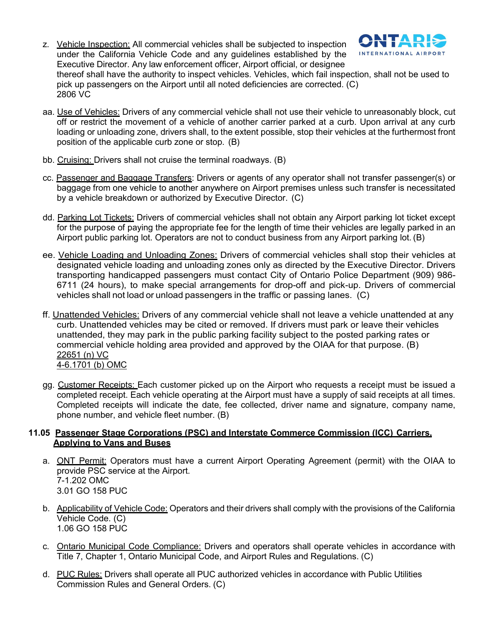z. Vehicle Inspection: All commercial vehicles shall be subjected to inspection under the California Vehicle Code and any guidelines established by the Executive Director. Any law enforcement officer, Airport official, or designee



thereof shall have the authority to inspect vehicles. Vehicles, which fail inspection, shall not be used to pick up passengers on the Airport until all noted deficiencies are corrected. (C) 2806 VC

- aa. Use of Vehicles: Drivers of any commercial vehicle shall not use their vehicle to unreasonably block, cut off or restrict the movement of a vehicle of another carrier parked at a curb. Upon arrival at any curb loading or unloading zone, drivers shall, to the extent possible, stop their vehicles at the furthermost front position of the applicable curb zone or stop. (B)
- bb. Cruising: Drivers shall not cruise the terminal roadways. (B)
- cc. Passenger and Baggage Transfers: Drivers or agents of any operator shall not transfer passenger(s) or baggage from one vehicle to another anywhere on Airport premises unless such transfer is necessitated by a vehicle breakdown or authorized by Executive Director. (C)
- dd. Parking Lot Tickets: Drivers of commercial vehicles shall not obtain any Airport parking lot ticket except for the purpose of paying the appropriate fee for the length of time their vehicles are legally parked in an Airport public parking lot. Operators are not to conduct business from any Airport parking lot. (B)
- ee. Vehicle Loading and Unloading Zones: Drivers of commercial vehicles shall stop their vehicles at designated vehicle loading and unloading zones only as directed by the Executive Director. Drivers transporting handicapped passengers must contact City of Ontario Police Department (909) 986- 6711 (24 hours), to make special arrangements for drop-off and pick-up. Drivers of commercial vehicles shall not load or unload passengers in the traffic or passing lanes. (C)
- ff. Unattended Vehicles: Drivers of any commercial vehicle shall not leave a vehicle unattended at any curb. Unattended vehicles may be cited or removed. If drivers must park or leave their vehicles unattended, they may park in the public parking facility subject to the posted parking rates or commercial vehicle holding area provided and approved by the OIAA for that purpose. (B) 22651 (n) VC 4-6.1701 (b) OMC
- gg. Customer Receipts: Each customer picked up on the Airport who requests a receipt must be issued a completed receipt. Each vehicle operating at the Airport must have a supply of said receipts at all times. Completed receipts will indicate the date, fee collected, driver name and signature, company name, phone number, and vehicle fleet number. (B)

#### **11.05 Passenger Stage Corporations (PSC) and Interstate Commerce Commission (ICC) Carriers, Applying to Vans and Buses**

- a. ONT Permit: Operators must have a current Airport Operating Agreement (permit) with the OIAA to provide PSC service at the Airport. 7-1.202 OMC 3.01 GO 158 PUC
- b. Applicability of Vehicle Code: Operators and their drivers shall comply with the provisions of the California Vehicle Code. (C) 1.06 GO 158 PUC
- c. Ontario Municipal Code Compliance: Drivers and operators shall operate vehicles in accordance with Title 7, Chapter 1, Ontario Municipal Code, and Airport Rules and Regulations. (C)
- d. PUC Rules: Drivers shall operate all PUC authorized vehicles in accordance with Public Utilities Commission Rules and General Orders. (C)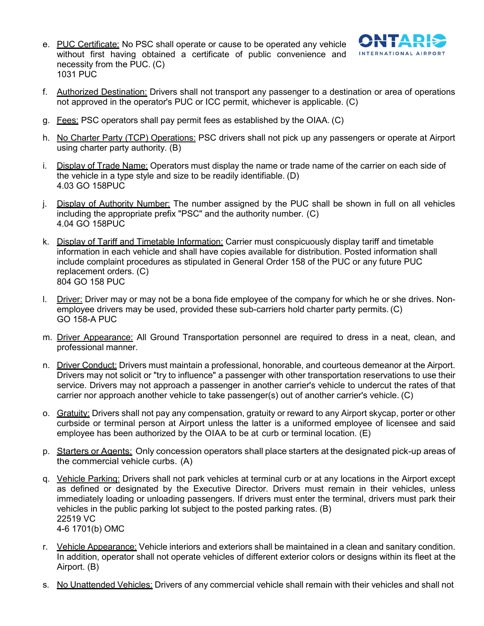

- e. PUC Certificate: No PSC shall operate or cause to be operated any vehicle without first having obtained a certificate of public convenience and necessity from the PUC. (C) 1031 PUC
- f. Authorized Destination: Drivers shall not transport any passenger to a destination or area of operations not approved in the operator's PUC or ICC permit, whichever is applicable. (C)
- g. Fees: PSC operators shall pay permit fees as established by the OIAA. (C)
- h. No Charter Party (TCP) Operations: PSC drivers shall not pick up any passengers or operate at Airport using charter party authority. (B)
- i. Display of Trade Name: Operators must display the name or trade name of the carrier on each side of the vehicle in a type style and size to be readily identifiable. (D) 4.03 GO 158PUC
- j. Display of Authority Number: The number assigned by the PUC shall be shown in full on all vehicles including the appropriate prefix "PSC" and the authority number. (C) 4.04 GO 158PUC
- k. Display of Tariff and Timetable Information: Carrier must conspicuously display tariff and timetable information in each vehicle and shall have copies available for distribution. Posted information shall include complaint procedures as stipulated in General Order 158 of the PUC or any future PUC replacement orders. (C) 804 GO 158 PUC
- l. Driver: Driver may or may not be a bona fide employee of the company for which he or she drives. Nonemployee drivers may be used, provided these sub-carriers hold charter party permits. (C) GO 158-A PUC
- m. Driver Appearance: All Ground Transportation personnel are required to dress in a neat, clean, and professional manner.
- n. Driver Conduct: Drivers must maintain a professional, honorable, and courteous demeanor at the Airport. Drivers may not solicit or "try to influence" a passenger with other transportation reservations to use their service. Drivers may not approach a passenger in another carrier's vehicle to undercut the rates of that carrier nor approach another vehicle to take passenger(s) out of another carrier's vehicle. (C)
- o. Gratuity: Drivers shall not pay any compensation, gratuity or reward to any Airport skycap, porter or other curbside or terminal person at Airport unless the latter is a uniformed employee of licensee and said employee has been authorized by the OIAA to be at curb or terminal location. (E)
- p. Starters or Agents: Only concession operators shall place starters at the designated pick-up areas of the commercial vehicle curbs. (A)
- q. Vehicle Parking: Drivers shall not park vehicles at terminal curb or at any locations in the Airport except as defined or designated by the Executive Director. Drivers must remain in their vehicles, unless immediately loading or unloading passengers. If drivers must enter the terminal, drivers must park their vehicles in the public parking lot subject to the posted parking rates. (B) 22519 VC 4-6 1701(b) OMC
- r. Vehicle Appearance: Vehicle interiors and exteriors shall be maintained in a clean and sanitary condition. In addition, operator shall not operate vehicles of different exterior colors or designs within its fleet at the Airport. (B)
- s. No Unattended Vehicles: Drivers of any commercial vehicle shall remain with their vehicles and shall not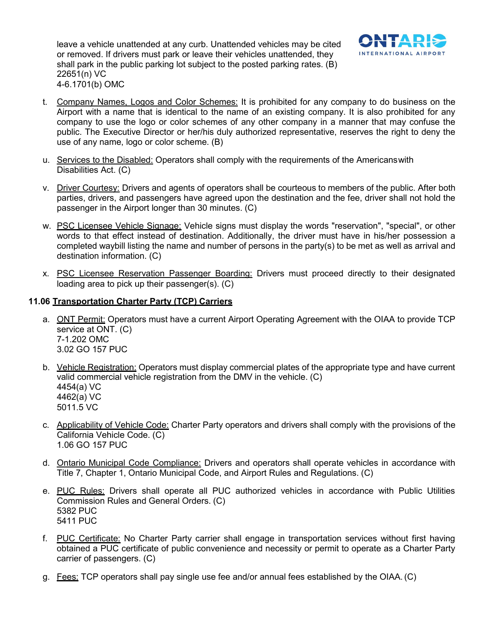leave a vehicle unattended at any curb. Unattended vehicles may be cited or removed. If drivers must park or leave their vehicles unattended, they shall park in the public parking lot subject to the posted parking rates. (B) 22651(n) VC 4-6.1701(b) OMC



- t. Company Names, Logos and Color Schemes: It is prohibited for any company to do business on the Airport with a name that is identical to the name of an existing company. It is also prohibited for any company to use the logo or color schemes of any other company in a manner that may confuse the public. The Executive Director or her/his duly authorized representative, reserves the right to deny the use of any name, logo or color scheme. (B)
- u. Services to the Disabled: Operators shall comply with the requirements of the Americanswith Disabilities Act. (C)
- v. Driver Courtesy: Drivers and agents of operators shall be courteous to members of the public. After both parties, drivers, and passengers have agreed upon the destination and the fee, driver shall not hold the passenger in the Airport longer than 30 minutes. (C)
- w. PSC Licensee Vehicle Signage: Vehicle signs must display the words "reservation", "special", or other words to that effect instead of destination. Additionally, the driver must have in his/her possession a completed waybill listing the name and number of persons in the party(s) to be met as well as arrival and destination information. (C)
- x. PSC Licensee Reservation Passenger Boarding: Drivers must proceed directly to their designated loading area to pick up their passenger(s). (C)

# **11.06 Transportation Charter Party (TCP) Carriers**

- a. ONT Permit: Operators must have a current Airport Operating Agreement with the OIAA to provide TCP service at ONT. (C) 7-1.202 OMC 3.02 GO 157 PUC
- b. Vehicle Registration: Operators must display commercial plates of the appropriate type and have current valid commercial vehicle registration from the DMV in the vehicle. (C) 4454(a) VC 4462(a) VC 5011.5 VC
- c. Applicability of Vehicle Code: Charter Party operators and drivers shall comply with the provisions of the California Vehicle Code. (C) 1.06 GO 157 PUC
- d. Ontario Municipal Code Compliance: Drivers and operators shall operate vehicles in accordance with Title 7, Chapter 1, Ontario Municipal Code, and Airport Rules and Regulations. (C)
- e. PUC Rules: Drivers shall operate all PUC authorized vehicles in accordance with Public Utilities Commission Rules and General Orders. (C) 5382 PUC 5411 PUC
- f. PUC Certificate: No Charter Party carrier shall engage in transportation services without first having obtained a PUC certificate of public convenience and necessity or permit to operate as a Charter Party carrier of passengers. (C)
- g. Fees: TCP operators shall pay single use fee and/or annual fees established by the OIAA.(C)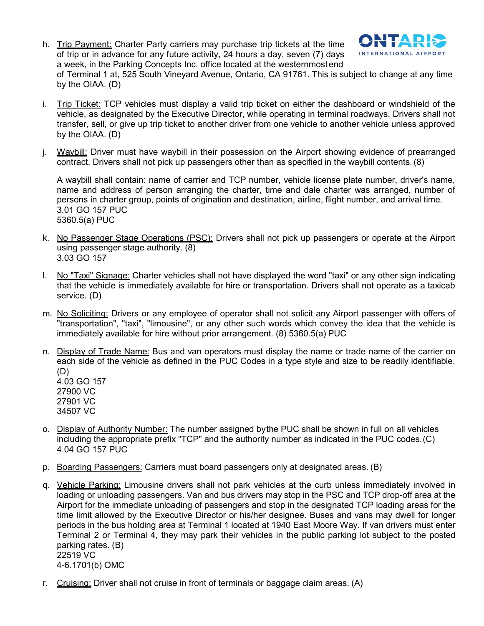h. Trip Payment: Charter Party carriers may purchase trip tickets at the time of trip or in advance for any future activity, 24 hours a day, seven (7) days a week, in the Parking Concepts Inc. office located at the westernmostend of Terminal 1 at, 525 South Vineyard Avenue, Ontario, CA 91761. This is subject to change at any time by the OIAA. (D)



- i. Trip Ticket: TCP vehicles must display a valid trip ticket on either the dashboard or windshield of the vehicle, as designated by the Executive Director, while operating in terminal roadways. Drivers shall not transfer, sell, or give up trip ticket to another driver from one vehicle to another vehicle unless approved by the OIAA. (D)
- j. Waybill: Driver must have waybill in their possession on the Airport showing evidence of prearranged contract. Drivers shall not pick up passengers other than as specified in the waybill contents. (8)

A waybill shall contain: name of carrier and TCP number, vehicle license plate number, driver's name, name and address of person arranging the charter, time and dale charter was arranged, number of persons in charter group, points of origination and destination, airline, flight number, and arrival time. 3.01 GO 157 PUC 5360.5(a) PUC

- k. No Passenger Stage Operations (PSC): Drivers shall not pick up passengers or operate at the Airport using passenger stage authority. (8) 3.03 GO 157
- l. No "Taxi" Signage: Charter vehicles shall not have displayed the word "taxi" or any other sign indicating that the vehicle is immediately available for hire or transportation. Drivers shall not operate as a taxicab service. (D)
- m. No Soliciting: Drivers or any employee of operator shall not solicit any Airport passenger with offers of "transportation", "taxi", "limousine", or any other such words which convey the idea that the vehicle is immediately available for hire without prior arrangement. (8) 5360.5(a) PUC
- n. Display of Trade Name: Bus and van operators must display the name or trade name of the carrier on each side of the vehicle as defined in the PUC Codes in a type style and size to be readily identifiable. (D) 4.03 GO 157

27900 VC 27901 VC 34507 VC

- o. Display of Authority Number: The number assigned bythe PUC shall be shown in full on all vehicles including the appropriate prefix "TCP" and the authority number as indicated in the PUC codes.(C) 4.04 GO 157 PUC
- p. Boarding Passengers: Carriers must board passengers only at designated areas. (B)
- q. Vehicle Parking: Limousine drivers shall not park vehicles at the curb unless immediately involved in loading or unloading passengers. Van and bus drivers may stop in the PSC and TCP drop-off area at the Airport for the immediate unloading of passengers and stop in the designated TCP loading areas for the time limit allowed by the Executive Director or his/her designee. Buses and vans may dwell for longer periods in the bus holding area at Terminal 1 located at 1940 East Moore Way. If van drivers must enter Terminal 2 or Terminal 4, they may park their vehicles in the public parking lot subject to the posted parking rates. (B) 22519 VC 4-6.1701(b) OMC
- r. Cruising: Driver shall not cruise in front of terminals or baggage claim areas. (A)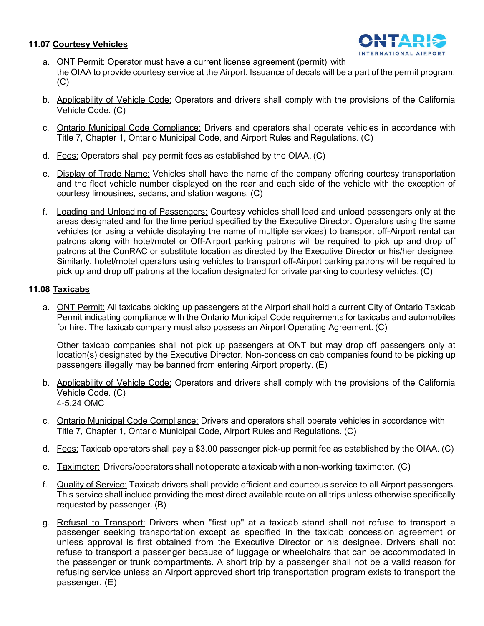#### **11.07 Courtesy Vehicles**



- a. ONT Permit: Operator must have a current license agreement (permit) with the OIAA to provide courtesy service at the Airport. Issuance of decals will be a part of the permit program. (C)
- b. Applicability of Vehicle Code: Operators and drivers shall comply with the provisions of the California Vehicle Code. (C)
- c. Ontario Municipal Code Compliance: Drivers and operators shall operate vehicles in accordance with Title 7, Chapter 1, Ontario Municipal Code, and Airport Rules and Regulations. (C)
- d. Fees: Operators shall pay permit fees as established by the OIAA. (C)
- e. Display of Trade Name: Vehicles shall have the name of the company offering courtesy transportation and the fleet vehicle number displayed on the rear and each side of the vehicle with the exception of courtesy limousines, sedans, and station wagons. (C)
- f. Loading and Unloading of Passengers: Courtesy vehicles shall load and unload passengers only at the areas designated and for the lime period specified by the Executive Director. Operators using the same vehicles (or using a vehicle displaying the name of multiple services) to transport off-Airport rental car patrons along with hotel/motel or Off-Airport parking patrons will be required to pick up and drop off patrons at the ConRAC or substitute location as directed by the Executive Director or his/her designee. Similarly, hotel/motel operators using vehicles to transport off-Airport parking patrons will be required to pick up and drop off patrons at the location designated for private parking to courtesy vehicles.(C)

# **11.08 Taxicabs**

a. ONT Permit: All taxicabs picking up passengers at the Airport shall hold a current City of Ontario Taxicab Permit indicating compliance with the Ontario Municipal Code requirements for taxicabs and automobiles for hire. The taxicab company must also possess an Airport Operating Agreement. (C)

Other taxicab companies shall not pick up passengers at ONT but may drop off passengers only at location(s) designated by the Executive Director. Non-concession cab companies found to be picking up passengers illegally may be banned from entering Airport property. (E)

- b. Applicability of Vehicle Code: Operators and drivers shall comply with the provisions of the California Vehicle Code. (C) 4-5.24 OMC
- c. Ontario Municipal Code Compliance: Drivers and operators shall operate vehicles in accordance with Title 7, Chapter 1, Ontario Municipal Code, Airport Rules and Regulations. (C)
- d. Fees: Taxicab operators shall pay a \$3.00 passenger pick-up permit fee as established by the OIAA. (C)
- e. Taximeter: Drivers/operatorsshall not operate a taxicab with a non-working taximeter. (C)
- f. Quality of Service: Taxicab drivers shall provide efficient and courteous service to all Airport passengers. This service shall include providing the most direct available route on all trips unless otherwise specifically requested by passenger. (B)
- g. Refusal to Transport: Drivers when "first up" at a taxicab stand shall not refuse to transport a passenger seeking transportation except as specified in the taxicab concession agreement or unless approval is first obtained from the Executive Director or his designee. Drivers shall not refuse to transport a passenger because of luggage or wheelchairs that can be accommodated in the passenger or trunk compartments. A short trip by a passenger shall not be a valid reason for refusing service unless an Airport approved short trip transportation program exists to transport the passenger. (E)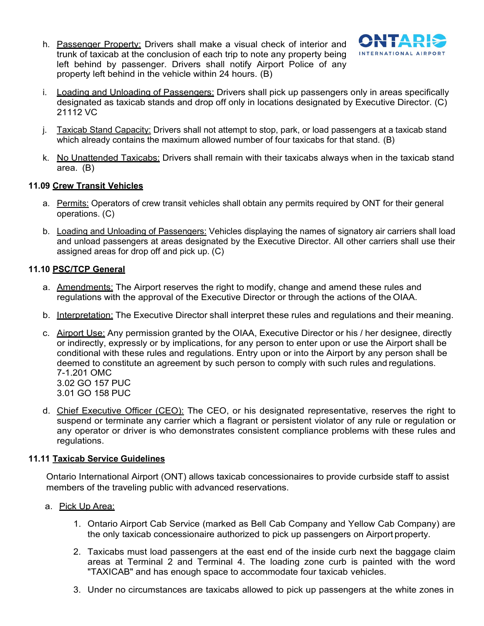h. Passenger Property: Drivers shall make a visual check of interior and trunk of taxicab at the conclusion of each trip to note any property being left behind by passenger. Drivers shall notify Airport Police of any property left behind in the vehicle within 24 hours. (B)



- i. Loading and Unloading of Passengers: Drivers shall pick up passengers only in areas specifically designated as taxicab stands and drop off only in locations designated by Executive Director. (C) 21112 VC
- j. Taxicab Stand Capacity: Drivers shall not attempt to stop, park, or load passengers at a taxicab stand which already contains the maximum allowed number of four taxicabs for that stand. (B)
- k. No Unattended Taxicabs: Drivers shall remain with their taxicabs always when in the taxicab stand area. (B)

# **11.09 Crew Transit Vehicles**

- a. Permits: Operators of crew transit vehicles shall obtain any permits required by ONT for their general operations. (C)
- b. Loading and Unloading of Passengers: Vehicles displaying the names of signatory air carriers shall load and unload passengers at areas designated by the Executive Director. All other carriers shall use their assigned areas for drop off and pick up. (C)

# **11.10 PSC/TCP General**

- a. Amendments: The Airport reserves the right to modify, change and amend these rules and regulations with the approval of the Executive Director or through the actions of the OIAA.
- b. Interpretation: The Executive Director shall interpret these rules and regulations and their meaning.
- c. Airport Use: Any permission granted by the OIAA, Executive Director or his / her designee, directly or indirectly, expressly or by implications, for any person to enter upon or use the Airport shall be conditional with these rules and regulations. Entry upon or into the Airport by any person shall be deemed to constitute an agreement by such person to comply with such rules and regulations. 7-1.201 OMC 3.02 GO 157 PUC 3.01 GO 158 PUC
- d. Chief Executive Officer (CEO): The CEO, or his designated representative, reserves the right to suspend or terminate any carrier which a flagrant or persistent violator of any rule or regulation or any operator or driver is who demonstrates consistent compliance problems with these rules and regulations.

#### **11.11 Taxicab Service Guidelines**

Ontario International Airport (ONT) allows taxicab concessionaires to provide curbside staff to assist members of the traveling public with advanced reservations.

- a. Pick Up Area:
	- 1. Ontario Airport Cab Service (marked as Bell Cab Company and Yellow Cab Company) are the only taxicab concessionaire authorized to pick up passengers on Airport property.
	- 2. Taxicabs must load passengers at the east end of the inside curb next the baggage claim areas at Terminal 2 and Terminal 4. The loading zone curb is painted with the word "TAXICAB" and has enough space to accommodate four taxicab vehicles.
	- 3. Under no circumstances are taxicabs allowed to pick up passengers at the white zones in